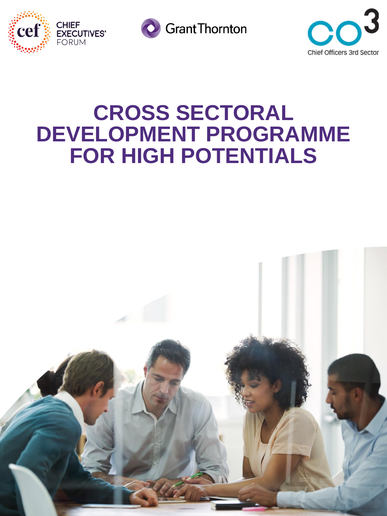





## **CROSS SECTORAL DEVELOPMENT PROGRAMME FOR HIGH POTENTIALS**

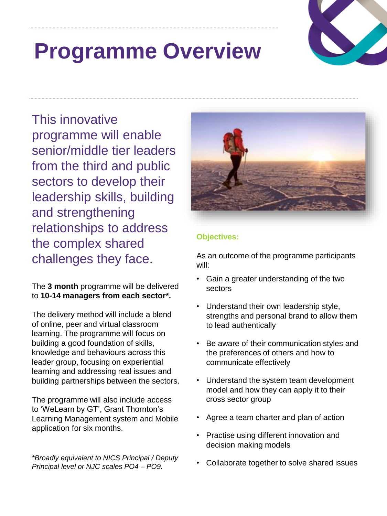## **Programme Overview**



This innovative programme will enable senior/middle tier leaders from the third and public sectors to develop their leadership skills, building and strengthening relationships to address the complex shared challenges they face.

The **3 month** programme will be delivered to **10-14 managers from each sector\*.**

The delivery method will include a blend of online, peer and virtual classroom learning. The programme will focus on building a good foundation of skills, knowledge and behaviours across this leader group, focusing on experiential learning and addressing real issues and building partnerships between the sectors.

The programme will also include access to 'WeLearn by GT', Grant Thornton's Learning Management system and Mobile application for six months.

*\*Broadly equivalent to NICS Principal / Deputy Principal level or NJC scales PO4 – PO9.*



#### **Objectives:**

As an outcome of the programme participants will:

- Gain a greater understanding of the two sectors
- Understand their own leadership style, strengths and personal brand to allow them to lead authentically
- Be aware of their communication styles and the preferences of others and how to communicate effectively
- Understand the system team development model and how they can apply it to their cross sector group
- Agree a team charter and plan of action
- Practise using different innovation and decision making models
- Collaborate together to solve shared issues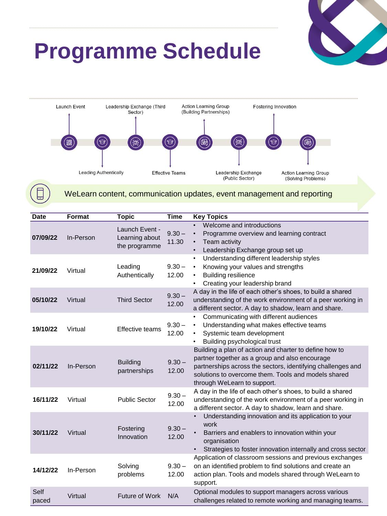

## **Programme Schedule**



#### WeLearn content, communication updates, event management and reporting

| <b>Date</b>   | <b>Format</b> | <b>Topic</b>                                      | <b>Time</b>       | <b>Key Topics</b>                                                                                                                                                                                                                                             |
|---------------|---------------|---------------------------------------------------|-------------------|---------------------------------------------------------------------------------------------------------------------------------------------------------------------------------------------------------------------------------------------------------------|
| 07/09/22      | In-Person     | Launch Event -<br>Learning about<br>the programme | $9.30 -$<br>11.30 | Welcome and introductions<br>$\bullet$<br>Programme overview and learning contract<br>$\bullet$<br>Team activity<br>$\bullet$<br>Leadership Exchange group set up<br>$\bullet$                                                                                |
| 21/09/22      | Virtual       | Leading<br>Authentically                          | $9.30 -$<br>12.00 | Understanding different leadership styles<br>$\bullet$<br>Knowing your values and strengths<br>$\bullet$<br><b>Building resilience</b><br>$\bullet$<br>Creating your leadership brand<br>٠                                                                    |
| 05/10/22      | Virtual       | <b>Third Sector</b>                               | $9.30 -$<br>12.00 | A day in the life of each other's shoes, to build a shared<br>understanding of the work environment of a peer working in<br>a different sector. A day to shadow, learn and share.                                                                             |
| 19/10/22      | Virtual       | Effective teams                                   | $9.30 -$<br>12.00 | Communicating with different audiences<br>Understanding what makes effective teams<br>$\bullet$<br>Systemic team development<br>$\bullet$<br>Building psychological trust                                                                                     |
| 02/11/22      | In-Person     | <b>Building</b><br>partnerships                   | $9.30 -$<br>12.00 | Building a plan of action and charter to define how to<br>partner together as a group and also encourage<br>partnerships across the sectors, identifying challenges and<br>solutions to overcome them. Tools and models shared<br>through WeLearn to support. |
| 16/11/22      | Virtual       | <b>Public Sector</b>                              | $9.30 -$<br>12.00 | A day in the life of each other's shoes, to build a shared<br>understanding of the work environment of a peer working in<br>a different sector. A day to shadow, learn and share.                                                                             |
| 30/11/22      | Virtual       | Fostering<br>Innovation                           | $9.30 -$<br>12.00 | Understanding innovation and its application to your<br>work<br>Barriers and enablers to innovation within your<br>organisation<br>Strategies to foster innovation internally and cross sector<br>$\bullet$                                                   |
| 14/12/22      | In-Person     | Solving<br>problems                               | $9.30 -$<br>12.00 | Application of classroom sessions and previous exchanges<br>on an identified problem to find solutions and create an<br>action plan. Tools and models shared through WeLearn to<br>support.                                                                   |
| Self<br>paced | Virtual       | Future of Work                                    | N/A               | Optional modules to support managers across various<br>challenges related to remote working and managing teams.                                                                                                                                               |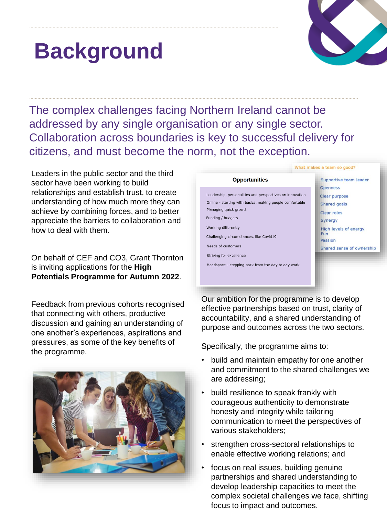## **Background**



What makes a team so good?

The complex challenges facing Northern Ireland cannot be addressed by any single organisation or any single sector. Collaboration across boundaries is key to successful delivery for citizens, and must become the norm, not the exception.

Leaders in the public sector and the third sector have been working to build relationships and establish trust, to create understanding of how much more they can achieve by combining forces, and to better appreciate the barriers to collaboration and how to deal with them.

On behalf of CEF and CO3, Grant Thornton is inviting applications for the **High Potentials Programme for Autumn 2022**.

Feedback from previous cohorts recognised that connecting with others, productive discussion and gaining an understanding of one another's experiences, aspirations and pressures, as some of the key benefits of the programme.





Our ambition for the programme is to develop effective partnerships based on trust, clarity of accountability, and a shared understanding of purpose and outcomes across the two sectors.

Specifically, the programme aims to:

- build and maintain empathy for one another and commitment to the shared challenges we are addressing;
- build resilience to speak frankly with courageous authenticity to demonstrate honesty and integrity while tailoring communication to meet the perspectives of various stakeholders;
- strengthen cross-sectoral relationships to enable effective working relations; and
- focus on real issues, building genuine partnerships and shared understanding to develop leadership capacities to meet the complex societal challenges we face, shifting focus to impact and outcomes.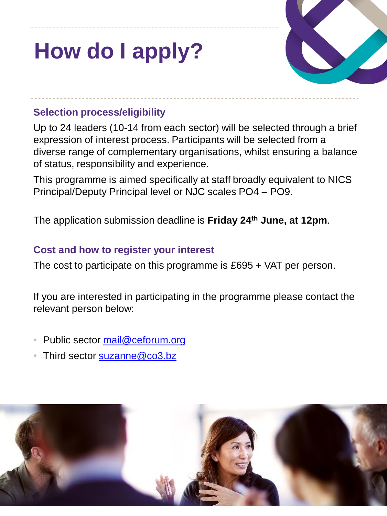# **How do I apply?**



### **Selection process/eligibility**

Up to 24 leaders (10-14 from each sector) will be selected through a brief expression of interest process. Participants will be selected from a diverse range of complementary organisations, whilst ensuring a balance of status, responsibility and experience.

This programme is aimed specifically at staff broadly equivalent to NICS Principal/Deputy Principal level or NJC scales PO4 – PO9.

The application submission deadline is **Friday 24th June, at 12pm**.

### **Cost and how to register your interest**

The cost to participate on this programme is £695 + VAT per person.

If you are interested in participating in the programme please contact the relevant person below:

- Public sector [mail@ceforum.org](mailto:mail@ceforum.org)
- Third sector [suzanne@co3.bz](mailto:suzanne@co3.bz)